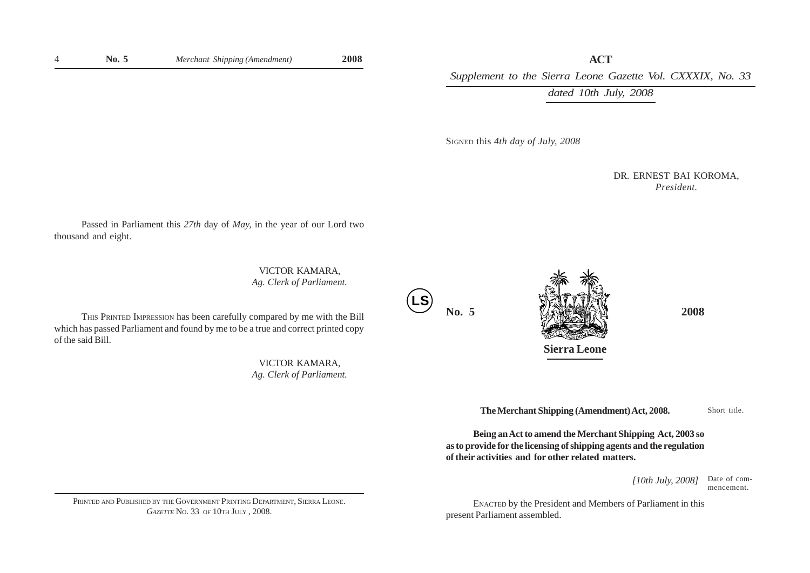**ACT** *Supplement to the Sierra Leone Gazette Vol. CXXXIX, No. 33*

*dated 10th July, 2008*

SIGNED this *4th day of July, 2008*

DR. ERNEST BAI KOROMA, *President.*

Passed in Parliament this *27th* day of *May,* in the year of our Lord two thousand and eight.

> VICTOR KAMARA, *Ag. Clerk of Parliament.*

THIS PRINTED IMPRESSION has been carefully compared by me with the Bill which has passed Parliament and found by me to be a true and correct printed copy of the said Bill.

> VICTOR KAMARA, *Ag. Clerk of Parliament.*

**LS**



**The Merchant Shipping (Amendment) Act, 2008.**

Short title.

**Being an Act to amend the Merchant Shipping Act, 2003 so as to provide for the licensing of shipping agents and the regulation of their activities and for other related matters.**

> *[10th July, 2008]* Date of commencement.

ENACTED by the President and Members of Parliament in this present Parliament assembled.

PRINTED AND PUBLISHED BY THE GOVERNMENT PRINTING DEPARTMENT, SIERRA LEONE. *GAZETTE* No. 33 OF 10TH JULY , 2008.